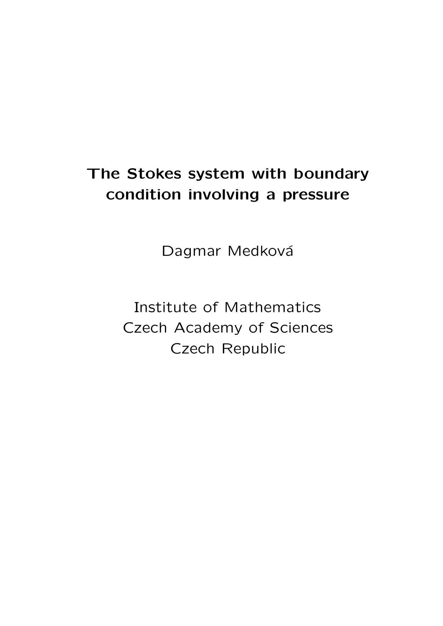# The Stokes system with boundary condition involving a pressure

Dagmar Medková

Institute of Mathematics Czech Academy of Sciences Czech Republic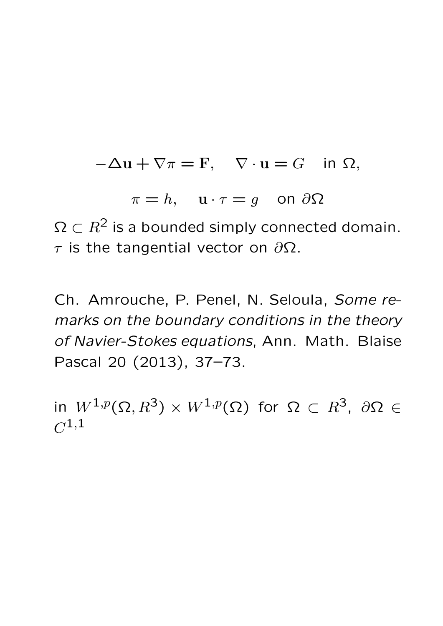$$
-\Delta u + \nabla \pi = F, \quad \nabla \cdot u = G \quad \text{in } \Omega,
$$

 $\pi = h$ ,  $\mathbf{u} \cdot \tau = g$  on  $\partial \Omega$ 

 $\Omega \subset R^2$  is a bounded simply connected domain.  $τ$  is the tangential vector on  $\partial Ω$ .

Ch. Amrouche, P. Penel, N. Seloula, Some remarks on the boundary conditions in the theory of Navier-Stokes equations, Ann. Math. Blaise Pascal 20 (2013), 37–73.

in  $W^{1,p}(\Omega ,R^3)\times W^{1,p}(\Omega )$  for  $\Omega \,\subset\, R^3,\,\,\partial \Omega \,\in\,$  $C^{1,1}$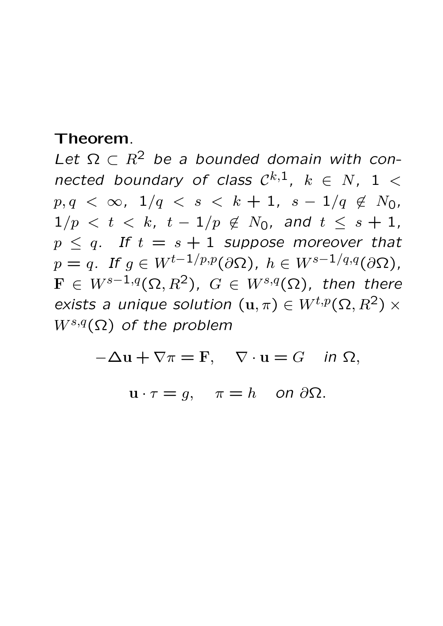Let  $\Omega \subset R^2$  be a bounded domain with connected boundary of class  $\mathcal{C}^{k,1}$ ,  $k \in N$ ,  $1 <$  $p, q < \infty$ ,  $1/q < s < k + 1$ ,  $s - 1/q \notin N_0$ ,  $1/p < t < k$ ,  $t - 1/p \notin N_0$ , and  $t < s + 1$ ,  $p \leq q$ . If  $t = s + 1$  suppose moreover that  $p = q$ . If  $q \in W^{t-1/p,p}(\partial \Omega)$ ,  $h \in W^{s-1/q,q}(\partial \Omega)$ ,  $\mathbf{F} \in W^{s-1,q}(\Omega,\mathbb{R}^2)$ ,  $G \in W^{s,q}(\Omega)$ , then there exists a unique solution  $(\mathbf{u}, \pi) \in W^{t,p}(\Omega, R^2) \times$  $W^{s,q}(\Omega)$  of the problem

 $-\Delta u + \nabla \pi = F$ ,  $\nabla \cdot u = G$  in  $\Omega$ ,

$$
\mathbf{u} \cdot \tau = g, \quad \pi = h \quad \text{on } \partial \Omega.
$$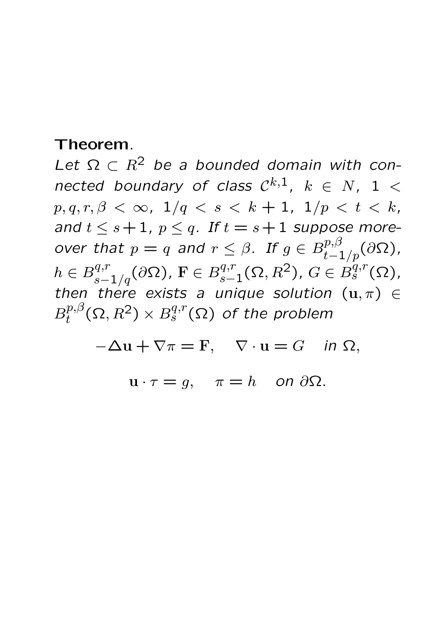Let  $\Omega \subset R^2$  be a bounded domain with connected boundary of class  $\mathcal{C}^{k,1}$ ,  $k \in N$ ,  $1 <$  $p, q, r, \beta < \infty$ ,  $1/q < s < k + 1$ ,  $1/p < t < k$ , and  $t \leq s+1$ ,  $p \leq q$ . If  $t = s+1$  suppose moreover that  $p = q$  and  $r \leq \beta$ . If  $g \in B^{p,\beta}_{t-1/p}(\partial \Omega)$ ,  $h\in B^{q,r}_{s-1/q}(\partial\Omega)$ ,  $\mathrm{F}\in B^{q,r}_{s-1}$  $s-1^{q,r}(\Omega,R^2)$ ,  $G \in B_s^{q,r}(\Omega)$ , then there exists a unique solution  $(u, \pi) \in$  $B^{p,\beta}_t$  $t^{p,\beta}_t(\Omega,R^2)\times B^{q,r}_s(\Omega)$  of the problem

 $-\Delta u + \nabla \pi = F$ ,  $\nabla \cdot u = G$  in  $\Omega$ ,

 $u \cdot \tau = g$ ,  $\pi = h$  on  $\partial \Omega$ .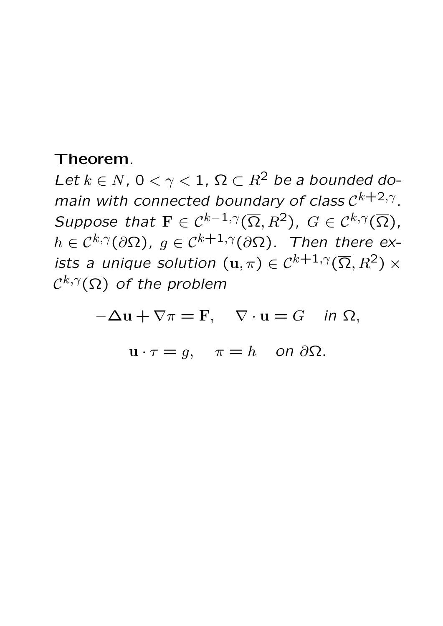Let  $k \in N$ ,  $0 < \gamma < 1$ ,  $\Omega \subset R^2$  be a bounded domain with connected boundary of class  $C^{k+2,\gamma}$ . Suppose that  $\mathbf{F} \in \mathcal{C}^{k-1,\gamma}(\overline{\Omega},R^2)$ ,  $G \in \mathcal{C}^{k,\gamma}(\overline{\Omega})$ ,  $h \in C^{k,\gamma}(\partial\Omega)$ ,  $g \in C^{k+1,\gamma}(\partial\Omega)$ . Then there exists a unique solution  $(\mathbf{u}, \pi) \in C^{k+1,\gamma}(\overline{\Omega}, R^2) \times$  $\mathcal{C}^{k,\gamma}(\overline{\Omega})$  of the problem

 $-\Delta u + \nabla \pi = F$ ,  $\nabla \cdot u = G$  in  $\Omega$ ,

$$
\mathbf{u} \cdot \tau = g, \quad \pi = h \quad \text{on } \partial \Omega.
$$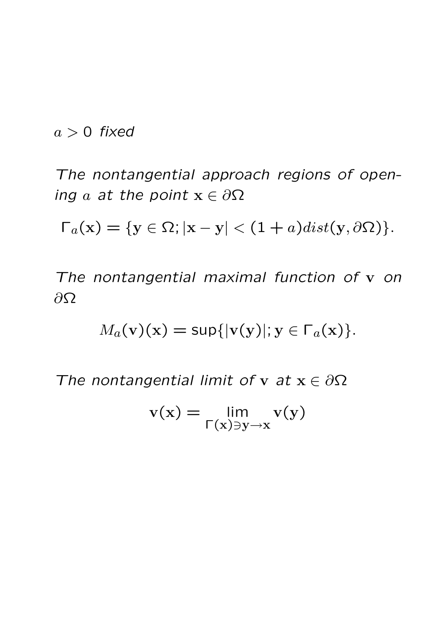$$
a>0\ \text{fixed}
$$

The nontangential approach regions of opening a at the point  $x \in \partial \Omega$ 

 $\Gamma_a(\mathbf{x}) = \{ \mathbf{y} \in \Omega; |\mathbf{x} - \mathbf{y}| < (1 + a) dist(\mathbf{y}, \partial \Omega) \}.$ 

The nontangential maximal function of v on  $∂Ω$ 

$$
M_a(\mathbf{v})(\mathbf{x}) = \sup\{|\mathbf{v}(\mathbf{y})|; \mathbf{y} \in \Gamma_a(\mathbf{x})\}.
$$

The nontangential limit of v at  $x \in \partial \Omega$ 

$$
v(x) = \lim_{\Gamma(x) \ni y \to x} v(y)
$$